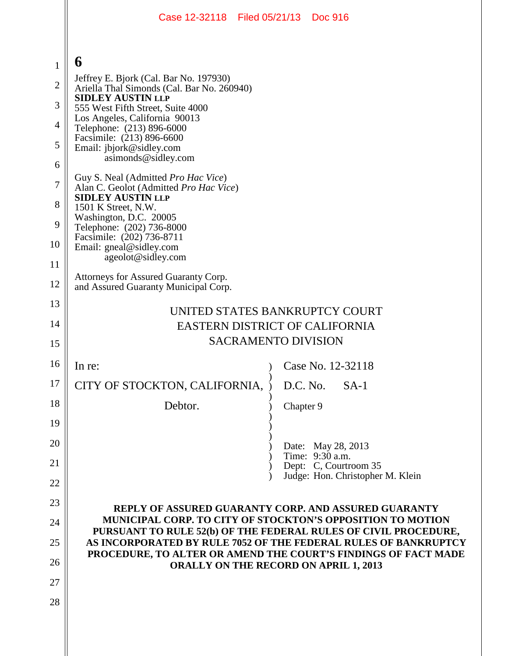|                | Case 12-32118 Filed 05/21/13 Doc 916                                                                                                                                                                                                                 |           |                                          |  |
|----------------|------------------------------------------------------------------------------------------------------------------------------------------------------------------------------------------------------------------------------------------------------|-----------|------------------------------------------|--|
|                |                                                                                                                                                                                                                                                      |           |                                          |  |
| $\mathbf{1}$   | 6                                                                                                                                                                                                                                                    |           |                                          |  |
| $\overline{c}$ | Jeffrey E. Bjork (Cal. Bar No. 197930)<br>Ariella Thal Simonds (Cal. Bar No. 260940)                                                                                                                                                                 |           |                                          |  |
| 3              | <b>SIDLEY AUSTIN LLP</b><br>555 West Fifth Street, Suite 4000                                                                                                                                                                                        |           |                                          |  |
| $\overline{4}$ | Los Angeles, California 90013<br>Telephone: (213) 896-6000                                                                                                                                                                                           |           |                                          |  |
| 5              | Facsimile: (213) 896-6600<br>Email: jbjork@sidley.com                                                                                                                                                                                                |           |                                          |  |
| 6              | asimonds@sidley.com                                                                                                                                                                                                                                  |           |                                          |  |
| 7              | Guy S. Neal (Admitted Pro Hac Vice)<br>Alan C. Geolot (Admitted Pro Hac Vice)                                                                                                                                                                        |           |                                          |  |
| 8              | <b>SIDLEY AUSTIN LLP</b><br>1501 K Street, N.W.                                                                                                                                                                                                      |           |                                          |  |
| 9              | Washington, D.C. 20005<br>Telephone: (202) 736-8000                                                                                                                                                                                                  |           |                                          |  |
| 10             | Facsimile: (202) 736-8711<br>Email: gneal@sidley.com                                                                                                                                                                                                 |           |                                          |  |
| 11             | ageolot@sidley.com                                                                                                                                                                                                                                   |           |                                          |  |
| 12             | Attorneys for Assured Guaranty Corp.<br>and Assured Guaranty Municipal Corp.                                                                                                                                                                         |           |                                          |  |
| 13             |                                                                                                                                                                                                                                                      |           |                                          |  |
| 14             | UNITED STATES BANKRUPTCY COURT<br><b>EASTERN DISTRICT OF CALIFORNIA</b>                                                                                                                                                                              |           |                                          |  |
| 15             | <b>SACRAMENTO DIVISION</b>                                                                                                                                                                                                                           |           |                                          |  |
| 16             | In re:                                                                                                                                                                                                                                               | $\lambda$ | Case No. 12-32118                        |  |
| 17             | CITY OF STOCKTON, CALIFORNIA,                                                                                                                                                                                                                        |           | $D.C. No.$ SA-1                          |  |
| 18             | Debtor.                                                                                                                                                                                                                                              | Chapter 9 |                                          |  |
| 19             |                                                                                                                                                                                                                                                      |           |                                          |  |
| 20             |                                                                                                                                                                                                                                                      |           | Date: May 28, 2013                       |  |
| 21             |                                                                                                                                                                                                                                                      |           | Time: 9:30 a.m.<br>Dept: C, Courtroom 35 |  |
| 22             |                                                                                                                                                                                                                                                      |           | Judge: Hon. Christopher M. Klein         |  |
| 23             | <b>REPLY OF ASSURED GUARANTY CORP. AND ASSURED GUARANTY</b>                                                                                                                                                                                          |           |                                          |  |
| 24             | <b>MUNICIPAL CORP. TO CITY OF STOCKTON'S OPPOSITION TO MOTION</b>                                                                                                                                                                                    |           |                                          |  |
| 25             | PURSUANT TO RULE 52(b) OF THE FEDERAL RULES OF CIVIL PROCEDURE,<br>AS INCORPORATED BY RULE 7052 OF THE FEDERAL RULES OF BANKRUPTCY<br>PROCEDURE, TO ALTER OR AMEND THE COURT'S FINDINGS OF FACT MADE<br><b>ORALLY ON THE RECORD ON APRIL 1, 2013</b> |           |                                          |  |
| 26             |                                                                                                                                                                                                                                                      |           |                                          |  |
| 27             |                                                                                                                                                                                                                                                      |           |                                          |  |
| 28             |                                                                                                                                                                                                                                                      |           |                                          |  |
|                |                                                                                                                                                                                                                                                      |           |                                          |  |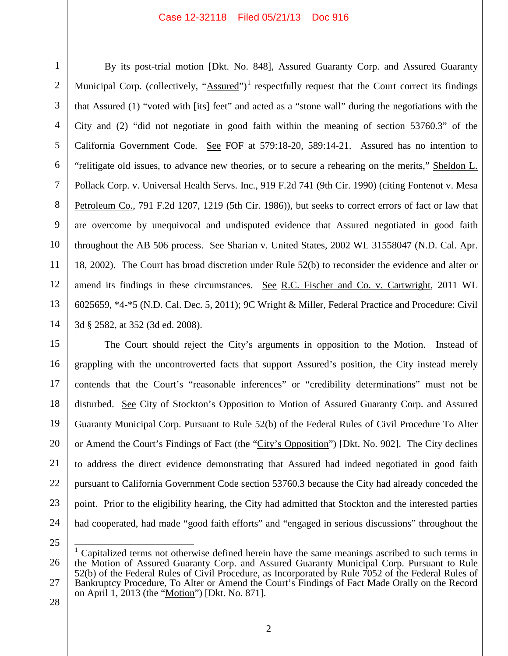## Case 12-32118 Filed 05/21/13 Doc 916

By its post-trial motion [Dkt. No. 848], Assured Guaranty Corp. and Assured Guaranty Municipal Corp. (collectively, " $\Delta$ ssured")<sup>1</sup> respectfully request that the Court correct its findings that Assured (1) "voted with [its] feet" and acted as a "stone wall" during the negotiations with the City and (2) "did not negotiate in good faith within the meaning of section 53760.3" of the California Government Code. See FOF at 579:18-20, 589:14-21. Assured has no intention to "relitigate old issues, to advance new theories, or to secure a rehearing on the merits," Sheldon L. Pollack Corp. v. Universal Health Servs. Inc., 919 F.2d 741 (9th Cir. 1990) (citing Fontenot v. Mesa Petroleum Co., 791 F.2d 1207, 1219 (5th Cir. 1986)), but seeks to correct errors of fact or law that are overcome by unequivocal and undisputed evidence that Assured negotiated in good faith throughout the AB 506 process. See Sharian v. United States, 2002 WL 31558047 (N.D. Cal. Apr. 18, 2002). The Court has broad discretion under Rule 52(b) to reconsider the evidence and alter or amend its findings in these circumstances. See R.C. Fischer and Co. v. Cartwright, 2011 WL 6025659, \*4-\*5 (N.D. Cal. Dec. 5, 2011); 9C Wright & Miller, Federal Practice and Procedure: Civil 3d § 2582, at 352 (3d ed. 2008).

The Court should reject the City's arguments in opposition to the Motion. Instead of grappling with the uncontroverted facts that support Assured's position, the City instead merely contends that the Court's "reasonable inferences" or "credibility determinations" must not be disturbed. See City of Stockton's Opposition to Motion of Assured Guaranty Corp. and Assured Guaranty Municipal Corp. Pursuant to Rule 52(b) of the Federal Rules of Civil Procedure To Alter or Amend the Court's Findings of Fact (the "City's Opposition") [Dkt. No. 902]. The City declines to address the direct evidence demonstrating that Assured had indeed negotiated in good faith pursuant to California Government Code section 53760.3 because the City had already conceded the point. Prior to the eligibility hearing, the City had admitted that Stockton and the interested parties had cooperated, had made "good faith efforts" and "engaged in serious discussions" throughout the

 <sup>1</sup> Capitalized terms not otherwise defined herein have the same meanings ascribed to such terms in the Motion of Assured Guaranty Corp. and Assured Guaranty Municipal Corp. Pursuant to Rule 52(b) of the Federal Rules of Civil Procedure, as Incorporated by Rule 7052 of the Federal Rules of Bankruptcy Procedure, To Alter or Amend the Court's Findings of Fact Made Orally on the Record on April 1, 2013 (the "Motion") [Dkt. No. 871].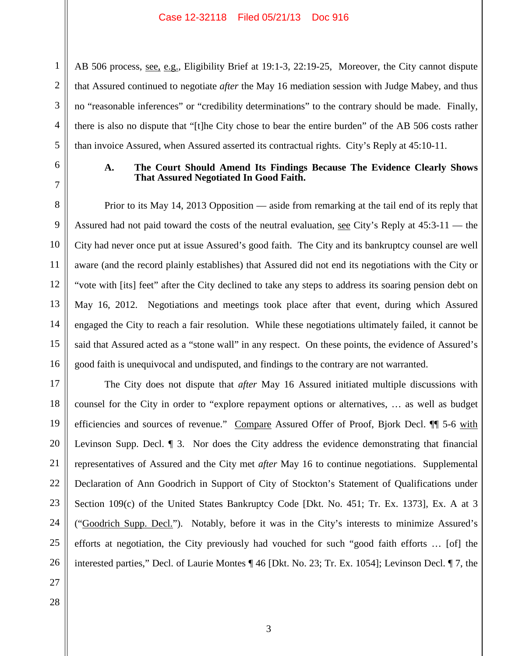AB 506 process, <u>see, e.g.</u>, Eligibility Brief at 19:1-3, 22:19-25, Moreover, the City cannot dispute that Assured continued to negotiate *after* the May 16 mediation session with Judge Mabey, and thus no "reasonable inferences" or "credibility determinations" to the contrary should be made. Finally, there is also no dispute that "[t]he City chose to bear the entire burden" of the AB 506 costs rather than invoice Assured, when Assured asserted its contractual rights. City's Reply at 45:10-11.

1

2

3

4

5

6

7

8

9

10

11

12

13

14

15

16

17

18

19

20

21

24

25

26

## **A. The Court Should Amend Its Findings Because The Evidence Clearly Shows That Assured Negotiated In Good Faith.**

Prior to its May 14, 2013 Opposition — aside from remarking at the tail end of its reply that Assured had not paid toward the costs of the neutral evaluation, see City's Reply at 45:3-11 — the City had never once put at issue Assured's good faith. The City and its bankruptcy counsel are well aware (and the record plainly establishes) that Assured did not end its negotiations with the City or "vote with [its] feet" after the City declined to take any steps to address its soaring pension debt on May 16, 2012. Negotiations and meetings took place after that event, during which Assured engaged the City to reach a fair resolution. While these negotiations ultimately failed, it cannot be said that Assured acted as a "stone wall" in any respect. On these points, the evidence of Assured's good faith is unequivocal and undisputed, and findings to the contrary are not warranted.

22 23 The City does not dispute that *after* May 16 Assured initiated multiple discussions with counsel for the City in order to "explore repayment options or alternatives, … as well as budget efficiencies and sources of revenue." Compare Assured Offer of Proof, Bjork Decl. <sup>¶</sup> 5-6 with Levinson Supp. Decl. ¶ 3. Nor does the City address the evidence demonstrating that financial representatives of Assured and the City met *after* May 16 to continue negotiations. Supplemental Declaration of Ann Goodrich in Support of City of Stockton's Statement of Qualifications under Section 109(c) of the United States Bankruptcy Code [Dkt. No. 451; Tr. Ex. 1373], Ex. A at 3 ("Goodrich Supp. Decl."). Notably, before it was in the City's interests to minimize Assured's efforts at negotiation, the City previously had vouched for such "good faith efforts … [of] the interested parties," Decl. of Laurie Montes ¶ 46 [Dkt. No. 23; Tr. Ex. 1054]; Levinson Decl. ¶ 7, the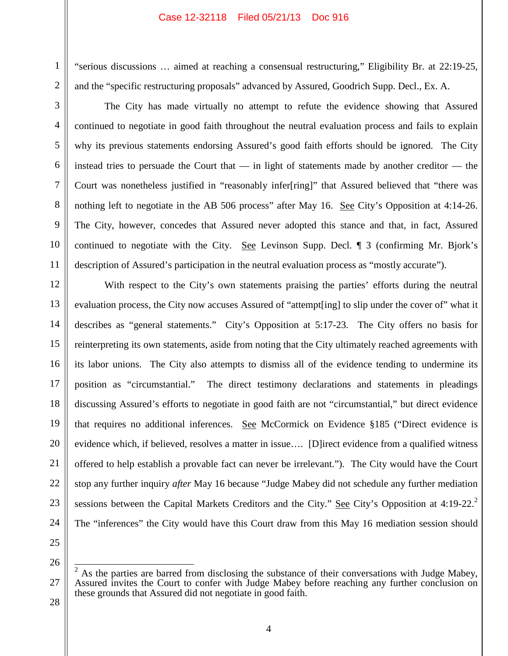## Case 12-32118 Filed 05/21/13 Doc 916

"serious discussions … aimed at reaching a consensual restructuring," Eligibility Br. at 22:19-25, and the "specific restructuring proposals" advanced by Assured, Goodrich Supp. Decl., Ex. A.

The City has made virtually no attempt to refute the evidence showing that Assured continued to negotiate in good faith throughout the neutral evaluation process and fails to explain why its previous statements endorsing Assured's good faith efforts should be ignored. The City instead tries to persuade the Court that — in light of statements made by another creditor — the Court was nonetheless justified in "reasonably infer[ring]" that Assured believed that "there was nothing left to negotiate in the AB 506 process" after May 16. See City's Opposition at 4:14-26. The City, however, concedes that Assured never adopted this stance and that, in fact, Assured continued to negotiate with the City. See Levinson Supp. Decl.  $\parallel$  3 (confirming Mr. Bjork's description of Assured's participation in the neutral evaluation process as "mostly accurate").

With respect to the City's own statements praising the parties' efforts during the neutral evaluation process, the City now accuses Assured of "attempt[ing] to slip under the cover of" what it describes as "general statements." City's Opposition at 5:17-23. The City offers no basis for reinterpreting its own statements, aside from noting that the City ultimately reached agreements with its labor unions. The City also attempts to dismiss all of the evidence tending to undermine its position as "circumstantial." The direct testimony declarations and statements in pleadings discussing Assured's efforts to negotiate in good faith are not "circumstantial," but direct evidence that requires no additional inferences. See McCormick on Evidence §185 ("Direct evidence is evidence which, if believed, resolves a matter in issue…. [D]irect evidence from a qualified witness offered to help establish a provable fact can never be irrelevant."). The City would have the Court stop any further inquiry *after* May 16 because "Judge Mabey did not schedule any further mediation sessions between the Capital Markets Creditors and the City." See City's Opposition at 4:19-22.<sup>2</sup> The "inferences" the City would have this Court draw from this May 16 mediation session should

26

1

2

3

4

5

6

7

8

9

10

11

12

13

14

15

16

17

18

19

20

21

22

23

24

25

28

27

As the parties are barred from disclosing the substance of their conversations with Judge Mabey, Assured invites the Court to confer with Judge Mabey before reaching any further conclusion on these grounds that Assured did not negotiate in good faith.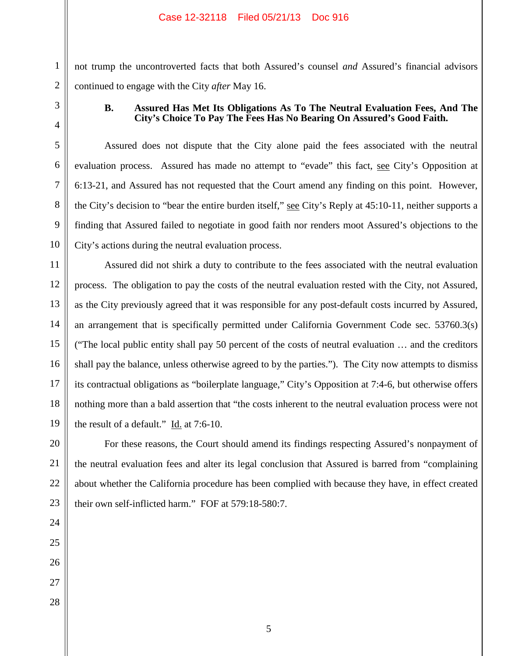not trump the uncontroverted facts that both Assured's counsel *and* Assured's financial advisors continued to engage with the City *after* May 16.

1

2

3

## **B. Assured Has Met Its Obligations As To The Neutral Evaluation Fees, And The City's Choice To Pay The Fees Has No Bearing On Assured's Good Faith.**

Assured does not dispute that the City alone paid the fees associated with the neutral evaluation process. Assured has made no attempt to "evade" this fact, see City's Opposition at 6:13-21, and Assured has not requested that the Court amend any finding on this point. However, the City's decision to "bear the entire burden itself," see City's Reply at 45:10-11, neither supports a finding that Assured failed to negotiate in good faith nor renders moot Assured's objections to the City's actions during the neutral evaluation process.

Assured did not shirk a duty to contribute to the fees associated with the neutral evaluation process. The obligation to pay the costs of the neutral evaluation rested with the City, not Assured, as the City previously agreed that it was responsible for any post-default costs incurred by Assured, an arrangement that is specifically permitted under California Government Code sec. 53760.3(s) ("The local public entity shall pay 50 percent of the costs of neutral evaluation … and the creditors shall pay the balance, unless otherwise agreed to by the parties."). The City now attempts to dismiss its contractual obligations as "boilerplate language," City's Opposition at 7:4-6, but otherwise offers nothing more than a bald assertion that "the costs inherent to the neutral evaluation process were not the result of a default." Id. at 7:6-10.

For these reasons, the Court should amend its findings respecting Assured's nonpayment of the neutral evaluation fees and alter its legal conclusion that Assured is barred from "complaining about whether the California procedure has been complied with because they have, in effect created their own self-inflicted harm." FOF at 579:18-580:7.